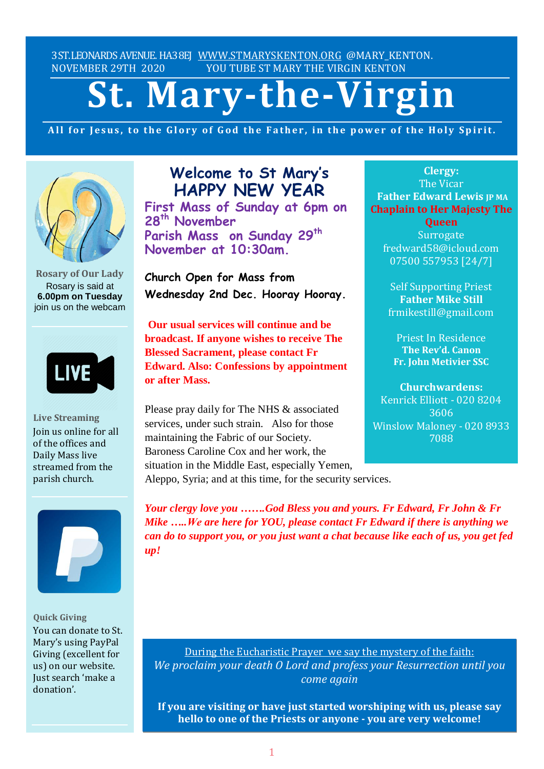3ST.LEONARDS AVENUE. HA38EJ [WWW.STMARYSKENTON.ORG](http://www.stmaryskenton.org/) @MARY KENTON. NOVEMBER 29TH 2020 YOU TUBE ST MARY THE VIRGIN KENTON

# **St. Mary-the-Virgin**

All for Jesus, to the Glory of God the Father, in the power of the Holy Spirit.



**Rosary of Our Lady** Rosary is said at **6.00pm on Tuesday** join us on the webcam



**Live Streaming** Join us online for all of the offices and Daily Mass live streamed from the parish church.



**Quick Giving** You can donate to St. Mary's using PayPal Giving (excellent for us) on our website. Just search 'make a donation'.

# **Welcome to St Mary's HAPPY NEW YEAR**

**First Mass of Sunday at 6pm on 28th November Parish Mass on Sunday 29th November at 10:30am.**

**Church Open for Mass from Wednesday 2nd Dec. Hooray Hooray.**

**Our usual services will continue and be broadcast. If anyone wishes to receive The Blessed Sacrament, please contact Fr Edward. Also: Confessions by appointment or after Mass.**

Please pray daily for The NHS & associated services, under such strain. Also for those maintaining the Fabric of our Society. Baroness Caroline Cox and her work, the situation in the Middle East, especially Yemen, Aleppo, Syria; and at this time, for the security services.

**Clergy:** The Vicar **Father Edward Lewis JP MA Chaplain to Her Majesty The**

**Queen Surrogate** fredward58@icloud.com 07500 557953 [24/7]

Self Supporting Priest **Father Mike Still** frmikestill@gmail.com

Priest In Residence **The Rev'd. Canon Fr. John Metivier SSC**

**Churchwardens:** Kenrick Elliott - 020 8204 3606 Winslow Maloney - 020 8933 7088

*Please let Fr. Edward know of illness or other need as*

*Your clergy love you …….God Bless you and yours. Fr Edward, Fr John & Fr Mike …..We are here for YOU, please contact Fr Edward if there is anything we can do to support you, or you just want a chat because like each of us, you get fed up!*

During the Eucharistic Prayer we say the mystery of the faith: *We proclaim your death O Lord and profess your Resurrection until you come again*

**If you are visiting or have just started worshiping with us, please say hello to one of the Priests or anyone - you are very welcome!**